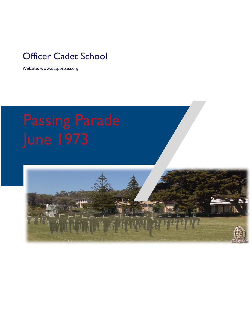## Officer Cadet School

Website: www.ocsportsea.org

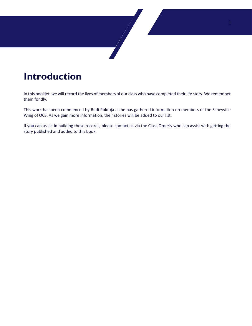# **Introduction**

In this booklet, we will record the lives of members of our class who have completed their life story. We remember them fondly.

 $\sqrt{2}$ 

This work has been commenced by Rudi Poldoja as he has gathered information on members of the Scheyville Wing of OCS. As we gain more information, their stories will be added to our list.

If you can assist in building these records, please contact us via the Class Orderly who can assist with getting the story published and added to this book.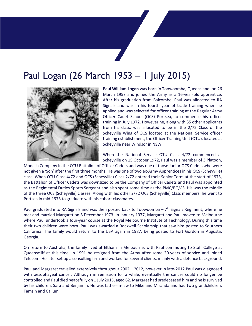# Paul Logan (26 March 1953 – 1 July 2015)



**Paul William Logan** was born in Toowoomba, Queensland, on 26 March 1953 and joined the Army as a 16-year-old apprentice. After his graduation from Balcombe, Paul was allocated to RA Signals and was in his fourth year of trade training when he applied and was selected for officer training at the Regular Army Officer Cadet School (OCS) Portsea, to commence his officer training in July 1972. However he, along with 35 other applicants from his class, was allocated to be in the 2/72 Class of the Scheyville Wing of OCS located at the National Service officer training establishment, the Officer Training Unit (OTU), located at Scheyville near Windsor in NSW.

When the National Service OTU Class 4/72 commenced at Scheyville on 15 October 1972, Paul was a member of 3 Platoon,

Monash Company in the OTU Battalion of Officer Cadets and was one of those Junior OCS Cadets who were not given a 'Son' after the first three months. He was one of two ex-Army Apprentices in his OCS (Scheyville) class. When OTU Class 4/72 and OCS (Scheyville) Class 2/72 entered their Senior Term at the start of 1973, the Battalion of Officer Cadets was downsized to be the Company of Officer Cadets and Paul was appointed as the Regimental Duties Sports Sergeant and also spent some time as the PMC/BQMS. His was the middle of the three OCS (Scheyville) classes. Along with his other 2/72 OCS (Scheyville) Class members, he went to Portsea in mid-1973 to graduate with his cohort classmates.

Paul graduated into RA Signals and was then posted back to Toowoomba  $-7<sup>th</sup>$  Signals Regiment, where he met and married Margaret on 8 December 1973. In January 1977, Margaret and Paul moved to Melbourne where Paul undertook a four-year course at the Royal Melbourne Institute of Technology. During this time their two children were born. Paul was awarded a Rockwell Scholarship that saw him posted to Southern California. The family would return to the USA again in 1987, being posted to Fort Gordon in Augusta, Georgia.

On return to Australia, the family lived at Eltham in Melbourne, with Paul commuting to Staff College at Queenscliff at this time. In 1991 he resigned from the Army after some 20-years of service and joined Telecom. He later set up a consulting firm and worked for several clients, mainly with a defence background.

Paul and Margaret travelled extensively throughout 2002 – 2012, however in late-2012 Paul was diagnosed with oesophageal cancer. Although in remission for a while, eventually the cancer could no longer be controlled and Paul died peacefully on 1 July 2015, aged 62. Margaret had predeceased him and he is survived by his children, Sara and Benjamin. He was father-in-law to Mike and Miranda and had two grandchildren; Tamsin and Callum.